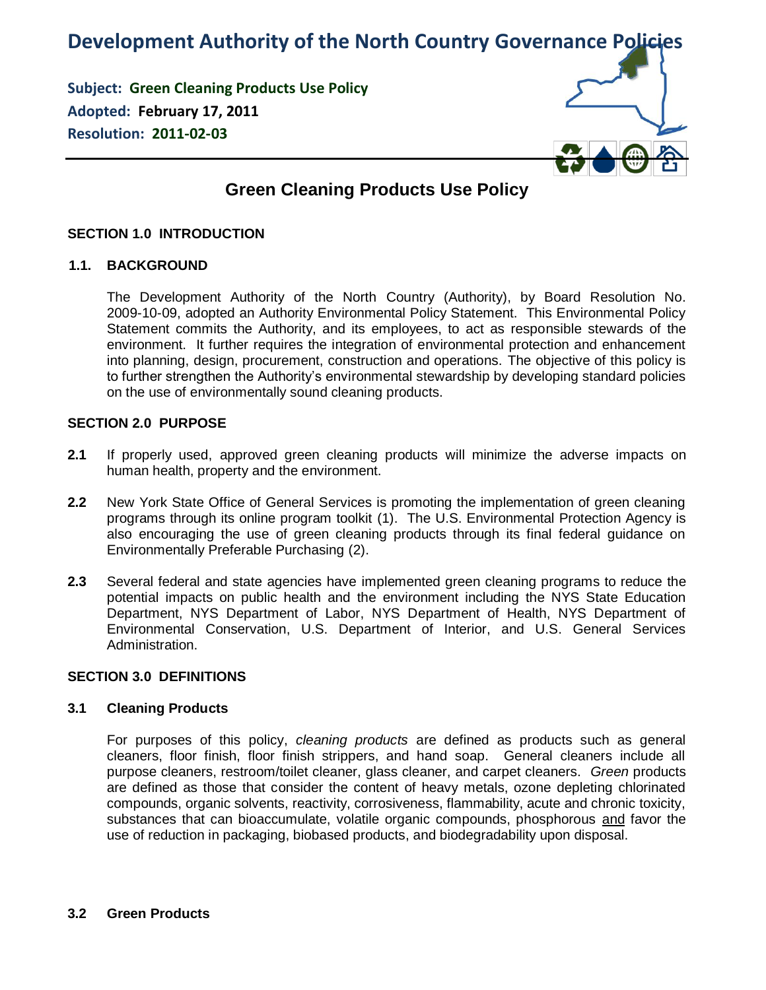# **Development Authority of the North Country Governance Policies**

**Subject: Green Cleaning Products Use Policy Adopted: February 17, 2011 Resolution: 2011-02-03**



# **Green Cleaning Products Use Policy**

# **SECTION 1.0 INTRODUCTION**

#### **1.1. BACKGROUND**

The Development Authority of the North Country (Authority), by Board Resolution No. 2009-10-09, adopted an Authority Environmental Policy Statement. This Environmental Policy Statement commits the Authority, and its employees, to act as responsible stewards of the environment. It further requires the integration of environmental protection and enhancement into planning, design, procurement, construction and operations. The objective of this policy is to further strengthen the Authority's environmental stewardship by developing standard policies on the use of environmentally sound cleaning products.

#### **SECTION 2.0 PURPOSE**

- **2.1** If properly used, approved green cleaning products will minimize the adverse impacts on human health, property and the environment.
- **2.2** New York State Office of General Services is promoting the implementation of green cleaning programs through its online program toolkit (1). The U.S. Environmental Protection Agency is also encouraging the use of green cleaning products through its final federal guidance on Environmentally Preferable Purchasing (2).
- **2.3** Several federal and state agencies have implemented green cleaning programs to reduce the potential impacts on public health and the environment including the NYS State Education Department, NYS Department of Labor, NYS Department of Health, NYS Department of Environmental Conservation, U.S. Department of Interior, and U.S. General Services Administration.

#### **SECTION 3.0 DEFINITIONS**

#### **3.1 Cleaning Products**

For purposes of this policy, *cleaning products* are defined as products such as general cleaners, floor finish, floor finish strippers, and hand soap. General cleaners include all purpose cleaners, restroom/toilet cleaner, glass cleaner, and carpet cleaners. *Green* products are defined as those that consider the content of heavy metals, ozone depleting chlorinated compounds, organic solvents, reactivity, corrosiveness, flammability, acute and chronic toxicity, substances that can bioaccumulate, volatile organic compounds, phosphorous and favor the use of reduction in packaging, biobased products, and biodegradability upon disposal.